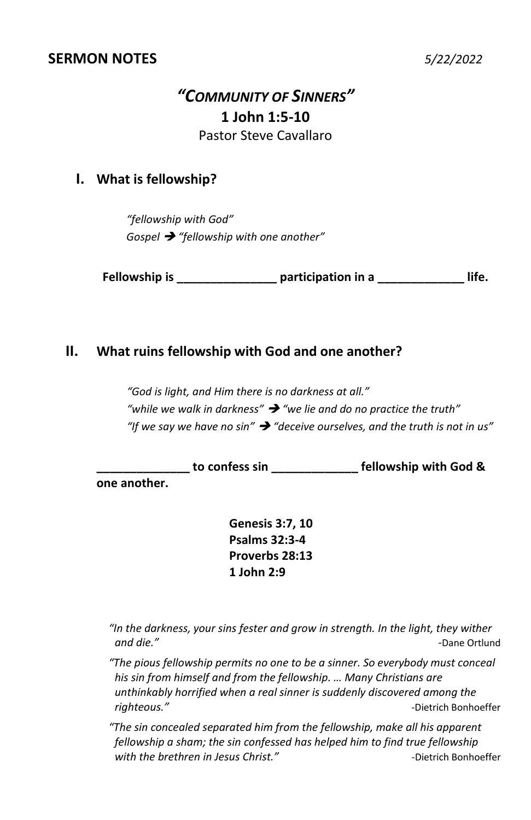# *"COMMUNITY OF SINNERS"* **1 John 1:5-10** Pastor Steve Cavallaro

### **I. What is fellowship?**

*"fellowship with God" Gospel* ➔ *"fellowship with one another"*

**Fellowship is \_\_\_\_\_\_\_\_\_\_\_\_\_\_\_ participation in a \_\_\_\_\_\_\_\_\_\_\_\_\_ life.**

#### **II. What ruins fellowship with God and one another?**

*"God is light, and Him there is no darkness at all." "while we walk in darkness"* ➔ *"we lie and do no practice the truth" "If we say we have no sin"* ➔ *"deceive ourselves, and the truth is not in us"*

**\_\_\_\_\_\_\_\_\_\_\_\_\_\_ to confess sin \_\_\_\_\_\_\_\_\_\_\_\_\_ fellowship with God &** 

**one another.**

**Genesis 3:7, 10 Psalms 32:3-4 Proverbs 28:13 1 John 2:9**

*"In the darkness, your sins fester and grow in strength. In the light, they wither and die." -*Dane Ortlund

*"The pious fellowship permits no one to be a sinner. So everybody must conceal his sin from himself and from the fellowship. … Many Christians are unthinkably horrified when a real sinner is suddenly discovered among the righteous." -*Dietrich Bonhoeffer

*"The sin concealed separated him from the fellowship, make all his apparent fellowship a sham; the sin confessed has helped him to find true fellowship*  with the brethren in Jesus Christ." The Christ of the *Dietrich Bonhoeffer*